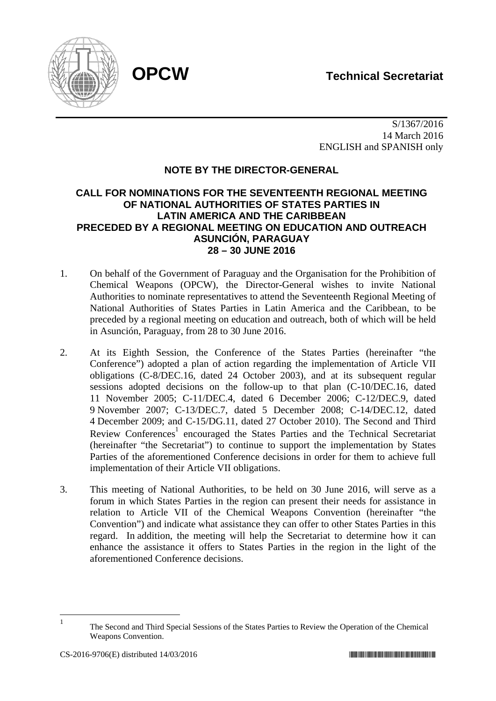

 S/1367/2016 14 March 2016 ENGLISH and SPANISH only

# **NOTE BY THE DIRECTOR-GENERAL**

# **CALL FOR NOMINATIONS FOR THE SEVENTEENTH REGIONAL MEETING OF NATIONAL AUTHORITIES OF STATES PARTIES IN LATIN AMERICA AND THE CARIBBEAN PRECEDED BY A REGIONAL MEETING ON EDUCATION AND OUTREACH ASUNCIÓN, PARAGUAY 28 – 30 JUNE 2016**

- 1. On behalf of the Government of Paraguay and the Organisation for the Prohibition of Chemical Weapons (OPCW), the Director-General wishes to invite National Authorities to nominate representatives to attend the Seventeenth Regional Meeting of National Authorities of States Parties in Latin America and the Caribbean, to be preceded by a regional meeting on education and outreach, both of which will be held in Asunción, Paraguay, from 28 to 30 June 2016.
- 2. At its Eighth Session, the Conference of the States Parties (hereinafter "the Conference") adopted a plan of action regarding the implementation of Article VII obligations (C-8/DEC.16, dated 24 October 2003), and at its subsequent regular sessions adopted decisions on the follow-up to that plan (C-10/DEC.16, dated 11 November 2005; C-11/DEC.4, dated 6 December 2006; C-12/DEC.9, dated 9 November 2007; C-13/DEC.7, dated 5 December 2008; C-14/DEC.12, dated 4 December 2009; and C-15/DG.11, dated 27 October 2010). The Second and Third Review Conferences<sup>1</sup> encouraged the States Parties and the Technical Secretariat (hereinafter "the Secretariat") to continue to support the implementation by States Parties of the aforementioned Conference decisions in order for them to achieve full implementation of their Article VII obligations.
- 3. This meeting of National Authorities, to be held on 30 June 2016, will serve as a forum in which States Parties in the region can present their needs for assistance in relation to Article VII of the Chemical Weapons Convention (hereinafter "the Convention") and indicate what assistance they can offer to other States Parties in this regard. In addition, the meeting will help the Secretariat to determine how it can enhance the assistance it offers to States Parties in the region in the light of the aforementioned Conference decisions.

 $\frac{1}{1}$ 

The Second and Third Special Sessions of the States Parties to Review the Operation of the Chemical Weapons Convention.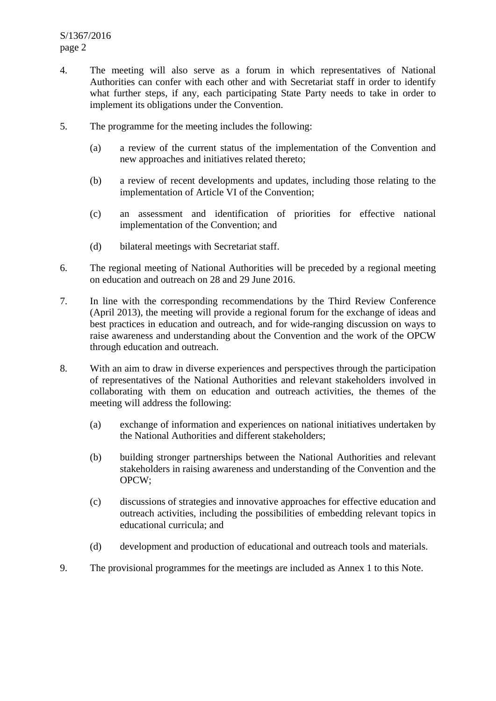- 4. The meeting will also serve as a forum in which representatives of National Authorities can confer with each other and with Secretariat staff in order to identify what further steps, if any, each participating State Party needs to take in order to implement its obligations under the Convention.
- 5. The programme for the meeting includes the following:
	- (a) a review of the current status of the implementation of the Convention and new approaches and initiatives related thereto;
	- (b) a review of recent developments and updates, including those relating to the implementation of Article VI of the Convention;
	- (c) an assessment and identification of priorities for effective national implementation of the Convention; and
	- (d) bilateral meetings with Secretariat staff.
- 6. The regional meeting of National Authorities will be preceded by a regional meeting on education and outreach on 28 and 29 June 2016.
- 7. In line with the corresponding recommendations by the Third Review Conference (April 2013), the meeting will provide a regional forum for the exchange of ideas and best practices in education and outreach, and for wide-ranging discussion on ways to raise awareness and understanding about the Convention and the work of the OPCW through education and outreach.
- 8. With an aim to draw in diverse experiences and perspectives through the participation of representatives of the National Authorities and relevant stakeholders involved in collaborating with them on education and outreach activities, the themes of the meeting will address the following:
	- (a) exchange of information and experiences on national initiatives undertaken by the National Authorities and different stakeholders;
	- (b) building stronger partnerships between the National Authorities and relevant stakeholders in raising awareness and understanding of the Convention and the OPCW;
	- (c) discussions of strategies and innovative approaches for effective education and outreach activities, including the possibilities of embedding relevant topics in educational curricula; and
	- (d) development and production of educational and outreach tools and materials.
- 9. The provisional programmes for the meetings are included as Annex 1 to this Note.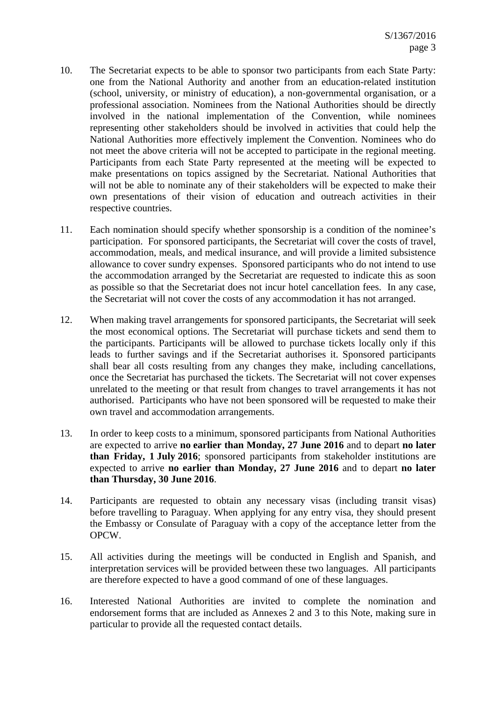- 10. The Secretariat expects to be able to sponsor two participants from each State Party: one from the National Authority and another from an education-related institution (school, university, or ministry of education), a non-governmental organisation, or a professional association. Nominees from the National Authorities should be directly involved in the national implementation of the Convention, while nominees representing other stakeholders should be involved in activities that could help the National Authorities more effectively implement the Convention. Nominees who do not meet the above criteria will not be accepted to participate in the regional meeting. Participants from each State Party represented at the meeting will be expected to make presentations on topics assigned by the Secretariat. National Authorities that will not be able to nominate any of their stakeholders will be expected to make their own presentations of their vision of education and outreach activities in their respective countries.
- 11. Each nomination should specify whether sponsorship is a condition of the nominee's participation. For sponsored participants, the Secretariat will cover the costs of travel, accommodation, meals, and medical insurance, and will provide a limited subsistence allowance to cover sundry expenses. Sponsored participants who do not intend to use the accommodation arranged by the Secretariat are requested to indicate this as soon as possible so that the Secretariat does not incur hotel cancellation fees. In any case, the Secretariat will not cover the costs of any accommodation it has not arranged.
- 12. When making travel arrangements for sponsored participants, the Secretariat will seek the most economical options. The Secretariat will purchase tickets and send them to the participants. Participants will be allowed to purchase tickets locally only if this leads to further savings and if the Secretariat authorises it. Sponsored participants shall bear all costs resulting from any changes they make, including cancellations, once the Secretariat has purchased the tickets. The Secretariat will not cover expenses unrelated to the meeting or that result from changes to travel arrangements it has not authorised. Participants who have not been sponsored will be requested to make their own travel and accommodation arrangements.
- 13. In order to keep costs to a minimum, sponsored participants from National Authorities are expected to arrive **no earlier than Monday, 27 June 2016** and to depart **no later than Friday, 1 July 2016**; sponsored participants from stakeholder institutions are expected to arrive **no earlier than Monday, 27 June 2016** and to depart **no later than Thursday, 30 June 2016**.
- 14. Participants are requested to obtain any necessary visas (including transit visas) before travelling to Paraguay. When applying for any entry visa, they should present the Embassy or Consulate of Paraguay with a copy of the acceptance letter from the OPCW.
- 15. All activities during the meetings will be conducted in English and Spanish, and interpretation services will be provided between these two languages. All participants are therefore expected to have a good command of one of these languages.
- 16. Interested National Authorities are invited to complete the nomination and endorsement forms that are included as Annexes 2 and 3 to this Note, making sure in particular to provide all the requested contact details.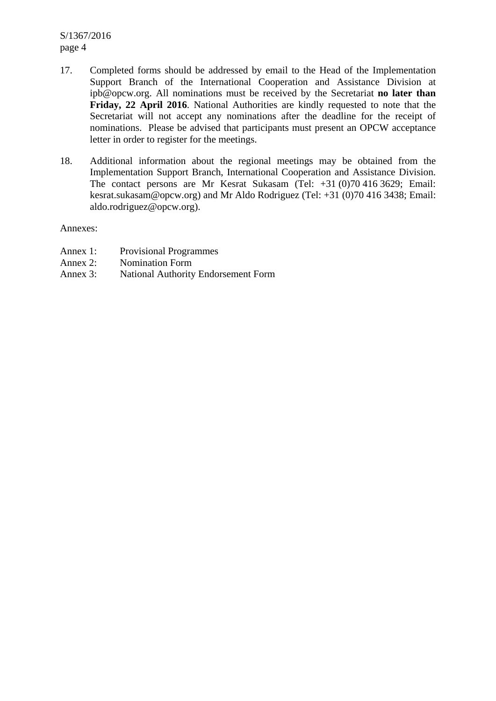S/1367/2016 page 4

- 17. Completed forms should be addressed by email to the Head of the Implementation Support Branch of the International Cooperation and Assistance Division at ipb@opcw.org. All nominations must be received by the Secretariat **no later than Friday, 22 April 2016**. National Authorities are kindly requested to note that the Secretariat will not accept any nominations after the deadline for the receipt of nominations. Please be advised that participants must present an OPCW acceptance letter in order to register for the meetings.
- 18. Additional information about the regional meetings may be obtained from the Implementation Support Branch, International Cooperation and Assistance Division. The contact persons are Mr Kesrat Sukasam (Tel: +31 (0)70 416 3629; Email: kesrat.sukasam@opcw.org) and Mr Aldo Rodriguez (Tel: +31 (0)70 416 3438; Email: aldo.rodriguez@opcw.org).

Annexes:

- Annex 1: Provisional Programmes
- Annex 2: Nomination Form
- Annex 3: National Authority Endorsement Form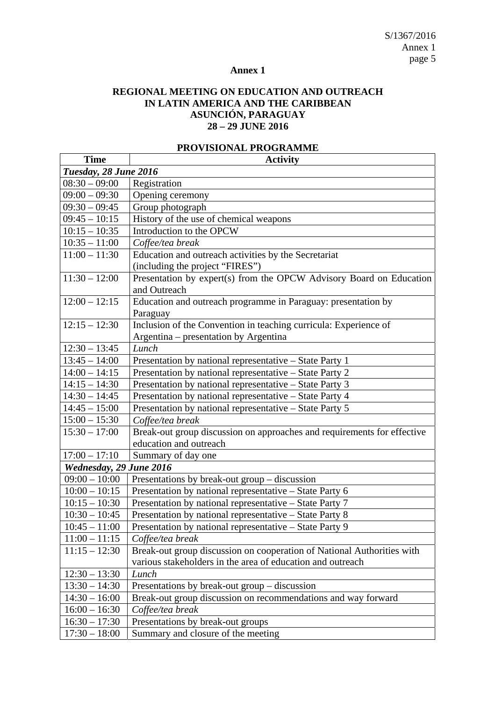S/1367/2016 Annex 1 page 5

# **Annex 1**

# **REGIONAL MEETING ON EDUCATION AND OUTREACH IN LATIN AMERICA AND THE CARIBBEAN ASUNCIÓN, PARAGUAY 28 – 29 JUNE 2016**

| <b>Time</b>             | <b>Activity</b>                                                         |  |  |
|-------------------------|-------------------------------------------------------------------------|--|--|
| Tuesday, 28 June 2016   |                                                                         |  |  |
| $08:30 - 09:00$         | Registration                                                            |  |  |
| $09:00 - 09:30$         | Opening ceremony                                                        |  |  |
| $09:30 - 09:45$         | Group photograph                                                        |  |  |
| $09:45 - 10:15$         | History of the use of chemical weapons                                  |  |  |
| $10:15 - 10:35$         | Introduction to the OPCW                                                |  |  |
| $10:35 - 11:00$         | Coffee/tea break                                                        |  |  |
| $11:00 - 11:30$         | Education and outreach activities by the Secretariat                    |  |  |
|                         | (including the project "FIRES")                                         |  |  |
| $11:30 - 12:00$         | Presentation by expert(s) from the OPCW Advisory Board on Education     |  |  |
|                         | and Outreach                                                            |  |  |
| $12:00 - 12:15$         | Education and outreach programme in Paraguay: presentation by           |  |  |
|                         | Paraguay                                                                |  |  |
| $12:15 - 12:30$         | Inclusion of the Convention in teaching curricula: Experience of        |  |  |
|                         | Argentina - presentation by Argentina                                   |  |  |
| $12:30 - 13:45$         | Lunch                                                                   |  |  |
| $13:45 - 14:00$         | Presentation by national representative – State Party 1                 |  |  |
| $14:00 - 14:15$         | Presentation by national representative – State Party 2                 |  |  |
| $14:15 - 14:30$         | Presentation by national representative - State Party 3                 |  |  |
| $14:30 - 14:45$         | Presentation by national representative - State Party 4                 |  |  |
| $14:45 - 15:00$         | Presentation by national representative – State Party 5                 |  |  |
| $15:00 - 15:30$         | Coffee/tea break                                                        |  |  |
| $15:30 - 17:00$         | Break-out group discussion on approaches and requirements for effective |  |  |
|                         | education and outreach                                                  |  |  |
| $17:00 - 17:10$         | Summary of day one                                                      |  |  |
| Wednesday, 29 June 2016 |                                                                         |  |  |
| $09:00 - 10:00$         | Presentations by break-out group – discussion                           |  |  |
| $10:00 - 10:15$         | Presentation by national representative - State Party 6                 |  |  |
| $10:15 - 10:30$         | Presentation by national representative - State Party 7                 |  |  |
| $10:30 - 10:45$         | Presentation by national representative - State Party 8                 |  |  |
| $10:45 - 11:00$         | Presentation by national representative - State Party 9                 |  |  |
| $11:00 - 11:15$         | Coffee/tea break                                                        |  |  |
| $11:15 - 12:30$         | Break-out group discussion on cooperation of National Authorities with  |  |  |
|                         | various stakeholders in the area of education and outreach              |  |  |
| $12:30 - 13:30$         | Lunch                                                                   |  |  |
| $13:30 - 14:30$         | Presentations by break-out group – discussion                           |  |  |
| $14:30 - 16:00$         | Break-out group discussion on recommendations and way forward           |  |  |
| $16:00 - 16:30$         | Coffee/tea break                                                        |  |  |
| $16:30 - 17:30$         | Presentations by break-out groups                                       |  |  |
| $17:30 - 18:00$         | Summary and closure of the meeting                                      |  |  |

#### **PROVISIONAL PROGRAMME**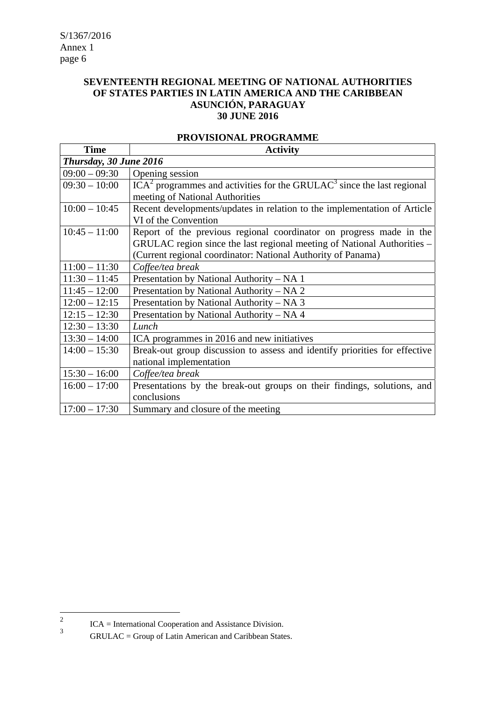# **SEVENTEENTH REGIONAL MEETING OF NATIONAL AUTHORITIES OF STATES PARTIES IN LATIN AMERICA AND THE CARIBBEAN ASUNCIÓN, PARAGUAY 30 JUNE 2016**

| <b>Time</b>            | <b>Activity</b>                                                                      |  |
|------------------------|--------------------------------------------------------------------------------------|--|
| Thursday, 30 June 2016 |                                                                                      |  |
| $09:00 - 09:30$        | Opening session                                                                      |  |
| $09:30 - 10:00$        | $ICA2$ programmes and activities for the GRULAC <sup>3</sup> since the last regional |  |
|                        | meeting of National Authorities                                                      |  |
| $10:00 - 10:45$        | Recent developments/updates in relation to the implementation of Article             |  |
|                        | VI of the Convention                                                                 |  |
| $10:45 - 11:00$        | Report of the previous regional coordinator on progress made in the                  |  |
|                        | GRULAC region since the last regional meeting of National Authorities –              |  |
|                        | (Current regional coordinator: National Authority of Panama)                         |  |
| $11:00 - 11:30$        | Coffee/tea break                                                                     |  |
| $11:30 - 11:45$        | Presentation by National Authority - NA 1                                            |  |
| $11:45 - 12:00$        | Presentation by National Authority – NA 2                                            |  |
| $12:00 - 12:15$        | Presentation by National Authority - NA 3                                            |  |
| $12:15 - 12:30$        | Presentation by National Authority – NA 4                                            |  |
| $12:30 - 13:30$        | Lunch                                                                                |  |
| $13:30 - 14:00$        | ICA programmes in 2016 and new initiatives                                           |  |
| $14:00 - 15:30$        | Break-out group discussion to assess and identify priorities for effective           |  |
|                        | national implementation                                                              |  |
| $15:30 - 16:00$        | Coffee/tea break                                                                     |  |
| $16:00 - 17:00$        | Presentations by the break-out groups on their findings, solutions, and              |  |
|                        | conclusions                                                                          |  |
| $17:00 - 17:30$        | Summary and closure of the meeting                                                   |  |

#### **PROVISIONAL PROGRAMME**

 $\frac{1}{2}$ ICA = International Cooperation and Assistance Division.

<sup>3</sup> GRULAC = Group of Latin American and Caribbean States.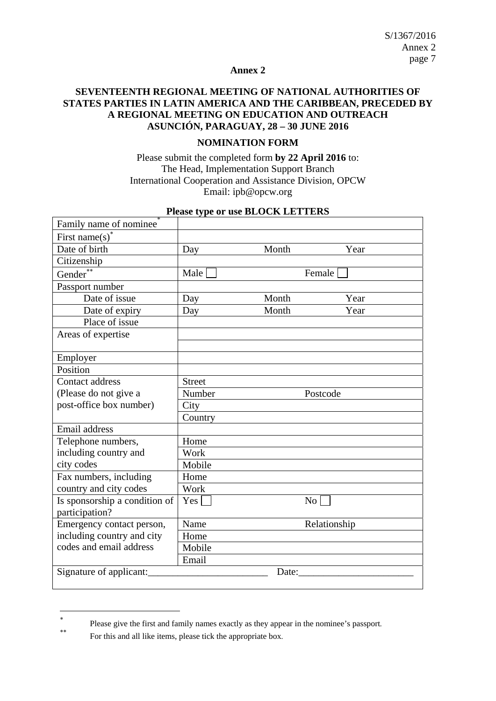## **Annex 2**

## **SEVENTEENTH REGIONAL MEETING OF NATIONAL AUTHORITIES OF STATES PARTIES IN LATIN AMERICA AND THE CARIBBEAN, PRECEDED BY A REGIONAL MEETING ON EDUCATION AND OUTREACH ASUNCIÓN, PARAGUAY, 28 – 30 JUNE 2016**

## **NOMINATION FORM**

Please submit the completed form **by 22 April 2016** to: The Head, Implementation Support Branch International Cooperation and Assistance Division, OPCW Email: ipb@opcw.org

| Family name of nominee           |               |                    |              |
|----------------------------------|---------------|--------------------|--------------|
| First name(s) <sup>*</sup>       |               |                    |              |
| Date of birth                    | Day           | Month              | Year         |
| Citizenship                      |               |                    |              |
| Gender <sup>'</sup>              | Male          |                    | Female       |
| Passport number                  |               |                    |              |
| Date of issue                    | Day           | Month              | Year         |
| Date of expiry                   | Day           | Month              | Year         |
| Place of issue                   |               |                    |              |
| Areas of expertise               |               |                    |              |
|                                  |               |                    |              |
| Employer                         |               |                    |              |
| Position                         |               |                    |              |
| Contact address                  | <b>Street</b> |                    |              |
| (Please do not give a            | Number        |                    | Postcode     |
| post-office box number)          | City          |                    |              |
|                                  | Country       |                    |              |
| Email address                    |               |                    |              |
| Telephone numbers,               | Home          |                    |              |
| including country and            | Work          |                    |              |
| city codes                       | Mobile        |                    |              |
| Fax numbers, including           | Home          |                    |              |
| country and city codes           | Work          |                    |              |
| Is sponsorship a condition of    | $Yes \Box$    | $\overline{N_{0}}$ |              |
| participation?                   |               |                    |              |
| Emergency contact person,        | Name          |                    | Relationship |
| including country and city       | Home          |                    |              |
| codes and email address          | Mobile        |                    |              |
|                                  | Email         |                    |              |
| Signature of applicant:<br>Date: |               |                    |              |
|                                  |               |                    |              |

#### **Please type or use BLOCK LETTERS**

1

<sup>×</sup> Please give the first and family names exactly as they appear in the nominee's passport.

For this and all like items, please tick the appropriate box.